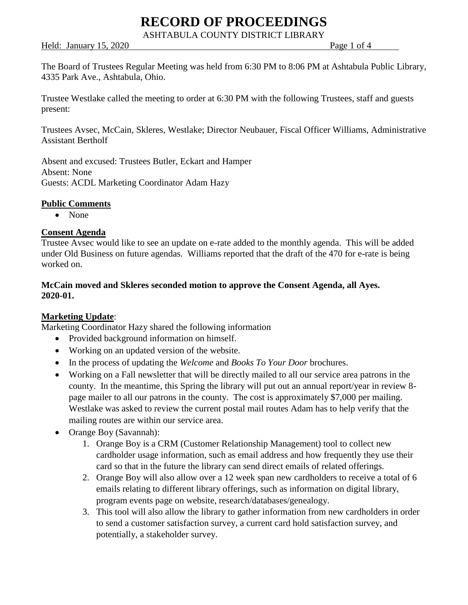ASHTABULA COUNTY DISTRICT LIBRARY

Held: January 15, 2020 Page 1 of 4

The Board of Trustees Regular Meeting was held from 6:30 PM to 8:06 PM at Ashtabula Public Library, 4335 Park Ave., Ashtabula, Ohio.

Trustee Westlake called the meeting to order at 6:30 PM with the following Trustees, staff and guests present:

Trustees Avsec, McCain, Skleres, Westlake; Director Neubauer, Fiscal Officer Williams, Administrative Assistant Bertholf

Absent and excused: Trustees Butler, Eckart and Hamper Absent: None Guests: ACDL Marketing Coordinator Adam Hazy

### **Public Comments**

• None

#### **Consent Agenda**

Trustee Avsec would like to see an update on e-rate added to the monthly agenda. This will be added under Old Business on future agendas. Williams reported that the draft of the 470 for e-rate is being worked on.

### **McCain moved and Skleres seconded motion to approve the Consent Agenda, all Ayes. 2020-01.**

### **Marketing Update**:

Marketing Coordinator Hazy shared the following information

- Provided background information on himself.
- Working on an updated version of the website.
- In the process of updating the *Welcome* and *Books To Your Door* brochures.
- Working on a Fall newsletter that will be directly mailed to all our service area patrons in the county. In the meantime, this Spring the library will put out an annual report/year in review 8 page mailer to all our patrons in the county. The cost is approximately \$7,000 per mailing. Westlake was asked to review the current postal mail routes Adam has to help verify that the mailing routes are within our service area.
- Orange Boy (Savannah):
	- 1. Orange Boy is a CRM (Customer Relationship Management) tool to collect new cardholder usage information, such as email address and how frequently they use their card so that in the future the library can send direct emails of related offerings.
	- 2. Orange Boy will also allow over a 12 week span new cardholders to receive a total of 6 emails relating to different library offerings, such as information on digital library, program events page on website, research/databases/genealogy.
	- 3. This tool will also allow the library to gather information from new cardholders in order to send a customer satisfaction survey, a current card hold satisfaction survey, and potentially, a stakeholder survey.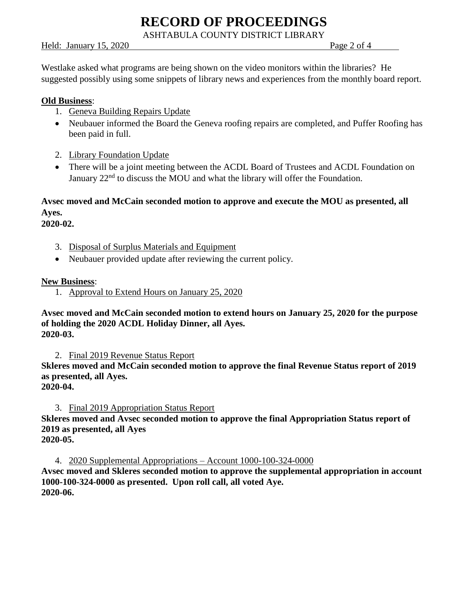ASHTABULA COUNTY DISTRICT LIBRARY

Held: January 15, 2020 Page 2 of 4

Westlake asked what programs are being shown on the video monitors within the libraries? He suggested possibly using some snippets of library news and experiences from the monthly board report.

#### **Old Business**:

- 1. Geneva Building Repairs Update
- Neubauer informed the Board the Geneva roofing repairs are completed, and Puffer Roofing has been paid in full.
- 2. Library Foundation Update
- There will be a joint meeting between the ACDL Board of Trustees and ACDL Foundation on January 22<sup>nd</sup> to discuss the MOU and what the library will offer the Foundation.

# **Avsec moved and McCain seconded motion to approve and execute the MOU as presented, all Ayes.**

**2020-02.**

- 3. Disposal of Surplus Materials and Equipment
- Neubauer provided update after reviewing the current policy.

**New Business**:

1. Approval to Extend Hours on January 25, 2020

**Avsec moved and McCain seconded motion to extend hours on January 25, 2020 for the purpose of holding the 2020 ACDL Holiday Dinner, all Ayes. 2020-03.**

2. Final 2019 Revenue Status Report

**Skleres moved and McCain seconded motion to approve the final Revenue Status report of 2019 as presented, all Ayes.**

## **2020-04.**

3. Final 2019 Appropriation Status Report

**Skleres moved and Avsec seconded motion to approve the final Appropriation Status report of 2019 as presented, all Ayes**

**2020-05.**

4. 2020 Supplemental Appropriations – Account 1000-100-324-0000

**Avsec moved and Skleres seconded motion to approve the supplemental appropriation in account 1000-100-324-0000 as presented. Upon roll call, all voted Aye. 2020-06.**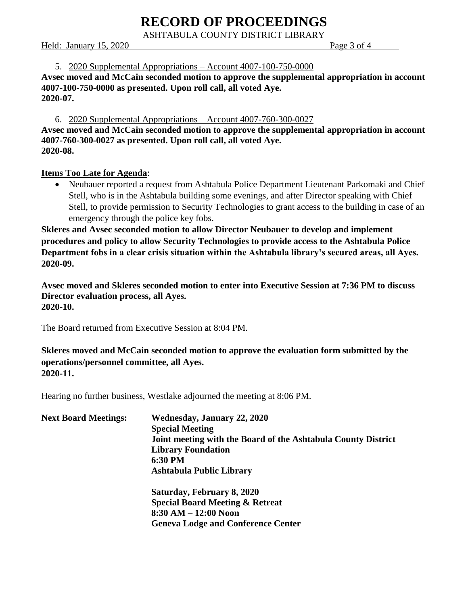ASHTABULA COUNTY DISTRICT LIBRARY

#### Held: January 15, 2020 Page 3 of 4

#### 5. 2020 Supplemental Appropriations – Account 4007-100-750-0000

**Avsec moved and McCain seconded motion to approve the supplemental appropriation in account 4007-100-750-0000 as presented. Upon roll call, all voted Aye. 2020-07.**

#### 6. 2020 Supplemental Appropriations – Account 4007-760-300-0027

**Avsec moved and McCain seconded motion to approve the supplemental appropriation in account 4007-760-300-0027 as presented. Upon roll call, all voted Aye. 2020-08.**

### **Items Too Late for Agenda**:

• Neubauer reported a request from Ashtabula Police Department Lieutenant Parkomaki and Chief Stell, who is in the Ashtabula building some evenings, and after Director speaking with Chief Stell, to provide permission to Security Technologies to grant access to the building in case of an emergency through the police key fobs.

**Skleres and Avsec seconded motion to allow Director Neubauer to develop and implement procedures and policy to allow Security Technologies to provide access to the Ashtabula Police Department fobs in a clear crisis situation within the Ashtabula library's secured areas, all Ayes. 2020-09.**

**Avsec moved and Skleres seconded motion to enter into Executive Session at 7:36 PM to discuss Director evaluation process, all Ayes. 2020-10.**

The Board returned from Executive Session at 8:04 PM.

**Skleres moved and McCain seconded motion to approve the evaluation form submitted by the operations/personnel committee, all Ayes. 2020-11.**

Hearing no further business, Westlake adjourned the meeting at 8:06 PM.

| <b>Next Board Meetings:</b> | <b>Wednesday, January 22, 2020</b>                            |
|-----------------------------|---------------------------------------------------------------|
|                             | <b>Special Meeting</b>                                        |
|                             | Joint meeting with the Board of the Ashtabula County District |
|                             | <b>Library Foundation</b>                                     |
|                             | 6:30 PM                                                       |
|                             | <b>Ashtabula Public Library</b>                               |
|                             | Saturday, February 8, 2020                                    |
|                             | <b>Special Board Meeting &amp; Retreat</b>                    |
|                             | $8:30 AM - 12:00 Noon$                                        |
|                             | <b>Geneva Lodge and Conference Center</b>                     |
|                             |                                                               |